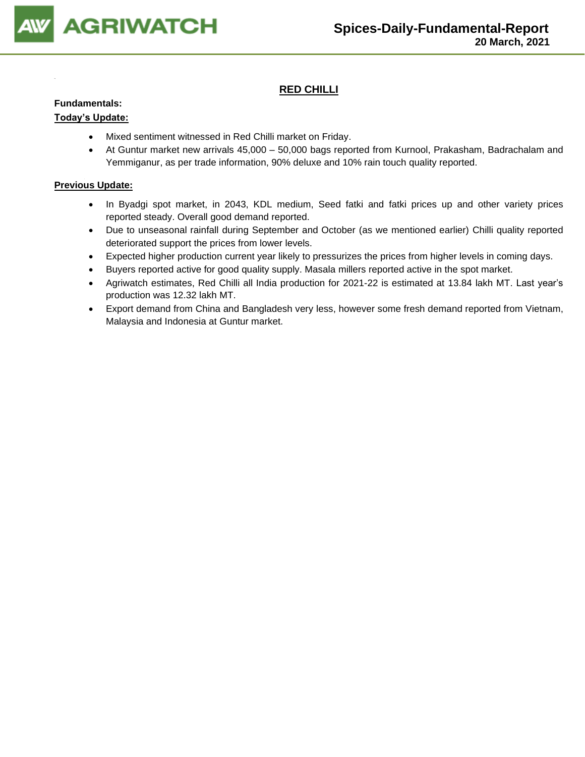

# **RED CHILLI**

### **Fundamentals:**

## **Today's Update:**

- Mixed sentiment witnessed in Red Chilli market on Friday.
- At Guntur market new arrivals 45,000 50,000 bags reported from Kurnool, Prakasham, Badrachalam and Yemmiganur, as per trade information, 90% deluxe and 10% rain touch quality reported.

- In Byadgi spot market, in 2043, KDL medium, Seed fatki and fatki prices up and other variety prices reported steady. Overall good demand reported.
- Due to unseasonal rainfall during September and October (as we mentioned earlier) Chilli quality reported deteriorated support the prices from lower levels.
- Expected higher production current year likely to pressurizes the prices from higher levels in coming days.
- Buyers reported active for good quality supply. Masala millers reported active in the spot market.
- Agriwatch estimates, Red Chilli all India production for 2021-22 is estimated at 13.84 lakh MT. Last year's production was 12.32 lakh MT.
- Export demand from China and Bangladesh very less, however some fresh demand reported from Vietnam, Malaysia and Indonesia at Guntur market.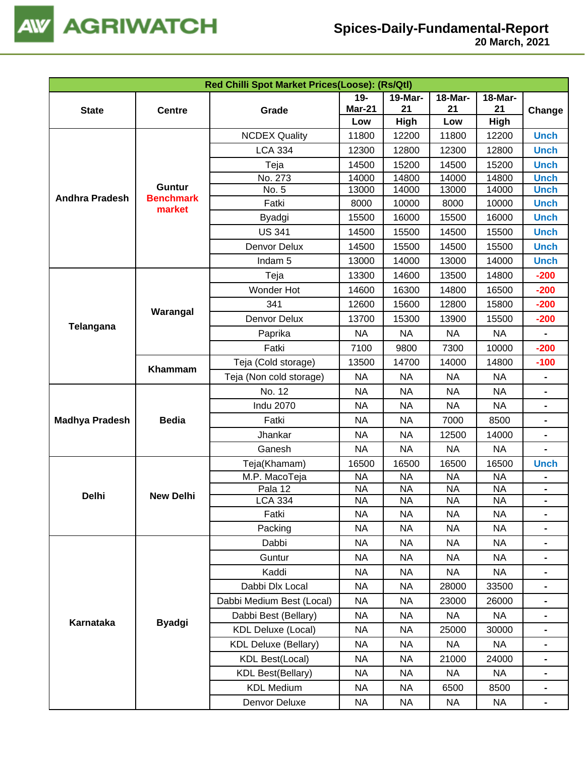

| Red Chilli Spot Market Prices(Loose): (Rs/Qtl) |                                   |                             |               |                |           |           |                              |  |  |
|------------------------------------------------|-----------------------------------|-----------------------------|---------------|----------------|-----------|-----------|------------------------------|--|--|
|                                                |                                   |                             | $19-$         | <b>19-Mar-</b> | 18-Mar-   | 18-Mar-   |                              |  |  |
| <b>State</b>                                   | <b>Centre</b>                     | Grade                       | <b>Mar-21</b> | 21             | 21        | 21        | Change                       |  |  |
|                                                |                                   |                             | Low           | High           | Low       | High      |                              |  |  |
|                                                |                                   | <b>NCDEX Quality</b>        | 11800         | 12200          | 11800     | 12200     | <b>Unch</b>                  |  |  |
| <b>Andhra Pradesh</b>                          |                                   | <b>LCA 334</b>              | 12300         | 12800          | 12300     | 12800     | <b>Unch</b>                  |  |  |
|                                                |                                   | Teja                        | 14500         | 15200          | 14500     | 15200     | <b>Unch</b>                  |  |  |
|                                                |                                   | No. 273                     | 14000         | 14800          | 14000     | 14800     | <b>Unch</b>                  |  |  |
|                                                | <b>Guntur</b><br><b>Benchmark</b> | No. 5                       | 13000         | 14000          | 13000     | 14000     | <b>Unch</b>                  |  |  |
|                                                | market                            | Fatki                       | 8000          | 10000          | 8000      | 10000     | <b>Unch</b>                  |  |  |
|                                                |                                   | <b>Byadgi</b>               | 15500         | 16000          | 15500     | 16000     | <b>Unch</b>                  |  |  |
|                                                |                                   | <b>US 341</b>               | 14500         | 15500          | 14500     | 15500     | <b>Unch</b>                  |  |  |
|                                                |                                   | Denvor Delux                | 14500         | 15500          | 14500     | 15500     | <b>Unch</b>                  |  |  |
|                                                |                                   | Indam <sub>5</sub>          | 13000         | 14000          | 13000     | 14000     | <b>Unch</b>                  |  |  |
|                                                |                                   | Teja                        | 13300         | 14600          | 13500     | 14800     | $-200$                       |  |  |
|                                                |                                   | Wonder Hot                  | 14600         | 16300          | 14800     | 16500     | $-200$                       |  |  |
| Telangana                                      |                                   | 341                         | 12600         | 15600          | 12800     | 15800     | $-200$                       |  |  |
|                                                | Warangal                          | Denvor Delux                | 13700         | 15300          | 13900     | 15500     | $-200$                       |  |  |
|                                                |                                   | Paprika                     | <b>NA</b>     | <b>NA</b>      | <b>NA</b> | <b>NA</b> |                              |  |  |
|                                                |                                   | Fatki                       | 7100          | 9800           | 7300      | 10000     | $-200$                       |  |  |
|                                                |                                   | Teja (Cold storage)         | 13500         | 14700          | 14000     | 14800     | $-100$                       |  |  |
|                                                | Khammam                           | Teja (Non cold storage)     | <b>NA</b>     | <b>NA</b>      | <b>NA</b> | <b>NA</b> | $\blacksquare$               |  |  |
|                                                | <b>Bedia</b>                      | No. 12                      | <b>NA</b>     | <b>NA</b>      | <b>NA</b> | <b>NA</b> |                              |  |  |
|                                                |                                   | <b>Indu 2070</b>            | <b>NA</b>     | <b>NA</b>      | <b>NA</b> | <b>NA</b> | $\blacksquare$               |  |  |
| <b>Madhya Pradesh</b>                          |                                   | Fatki                       | <b>NA</b>     | <b>NA</b>      | 7000      | 8500      | $\blacksquare$               |  |  |
|                                                |                                   | Jhankar                     | <b>NA</b>     | <b>NA</b>      | 12500     | 14000     | $\blacksquare$               |  |  |
|                                                |                                   | Ganesh                      | <b>NA</b>     | <b>NA</b>      | <b>NA</b> | <b>NA</b> |                              |  |  |
|                                                |                                   | Teja(Khamam)                | 16500         | 16500          | 16500     | 16500     | <b>Unch</b>                  |  |  |
|                                                |                                   | M.P. MacoTeja               | <b>NA</b>     | <b>NA</b>      | <b>NA</b> | <b>NA</b> |                              |  |  |
|                                                |                                   | Pala 12                     | <b>NA</b>     | <b>NA</b>      | <b>NA</b> | <b>NA</b> | -                            |  |  |
| <b>Delhi</b>                                   | <b>New Delhi</b>                  | <b>LCA 334</b>              | <b>NA</b>     | <b>NA</b>      | <b>NA</b> | <b>NA</b> | $\blacksquare$               |  |  |
|                                                |                                   | Fatki                       | <b>NA</b>     | <b>NA</b>      | NA        | <b>NA</b> | $\blacksquare$               |  |  |
|                                                |                                   | Packing                     | <b>NA</b>     | <b>NA</b>      | <b>NA</b> | <b>NA</b> |                              |  |  |
|                                                |                                   | Dabbi                       | <b>NA</b>     | <b>NA</b>      | NA        | <b>NA</b> | $\qquad \qquad \blacksquare$ |  |  |
|                                                |                                   | Guntur                      | <b>NA</b>     | <b>NA</b>      | <b>NA</b> | <b>NA</b> | $\blacksquare$               |  |  |
|                                                |                                   | Kaddi                       | <b>NA</b>     | <b>NA</b>      | <b>NA</b> | <b>NA</b> |                              |  |  |
|                                                |                                   | Dabbi Dlx Local             | <b>NA</b>     | <b>NA</b>      | 28000     | 33500     |                              |  |  |
|                                                |                                   | Dabbi Medium Best (Local)   | <b>NA</b>     | <b>NA</b>      | 23000     | 26000     | $\blacksquare$               |  |  |
|                                                |                                   | Dabbi Best (Bellary)        | <b>NA</b>     | <b>NA</b>      | NA        | <b>NA</b> |                              |  |  |
| <b>Karnataka</b>                               | <b>Byadgi</b>                     | <b>KDL Deluxe (Local)</b>   | <b>NA</b>     | <b>NA</b>      | 25000     | 30000     |                              |  |  |
|                                                |                                   | <b>KDL Deluxe (Bellary)</b> | <b>NA</b>     | <b>NA</b>      | <b>NA</b> | <b>NA</b> | $\blacksquare$               |  |  |
|                                                |                                   | <b>KDL Best(Local)</b>      | <b>NA</b>     | <b>NA</b>      | 21000     | 24000     | $\blacksquare$               |  |  |
|                                                |                                   | <b>KDL Best(Bellary)</b>    | <b>NA</b>     | <b>NA</b>      | NA        | <b>NA</b> | $\blacksquare$               |  |  |
|                                                |                                   | <b>KDL Medium</b>           | <b>NA</b>     | <b>NA</b>      | 6500      | 8500      |                              |  |  |
|                                                |                                   | Denvor Deluxe               | <b>NA</b>     | <b>NA</b>      | <b>NA</b> | <b>NA</b> | $\blacksquare$               |  |  |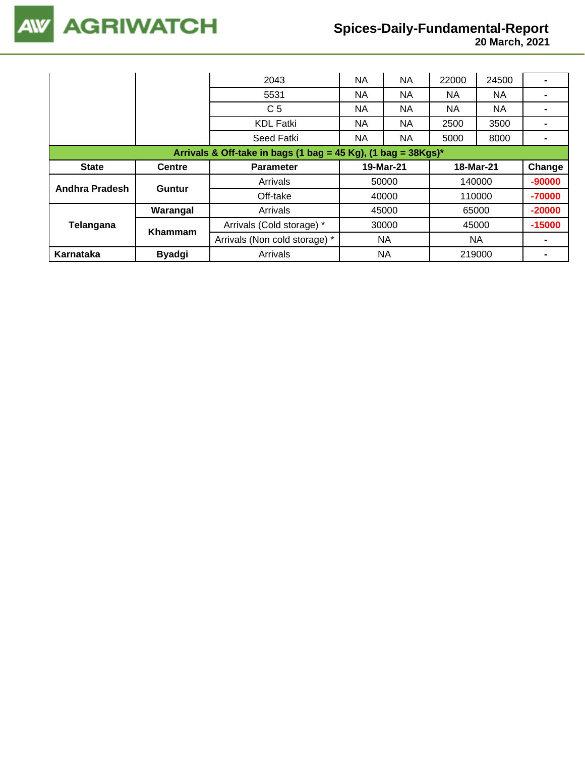**20 March, 2021**

|                |               | 2043                                                             | NA    | NA        | 22000     | 24500 |          |
|----------------|---------------|------------------------------------------------------------------|-------|-----------|-----------|-------|----------|
|                |               | 5531                                                             | NA    | NA        | NА        | NA.   |          |
|                |               | C <sub>5</sub>                                                   | NA    | NA        | NA.       | NA.   |          |
|                |               | <b>KDL Fatki</b>                                                 | NA    | NA        | 2500      | 3500  |          |
|                |               | Seed Fatki                                                       | NA.   | NA        | 5000      | 8000  |          |
|                |               | Arrivals & Off-take in bags (1 bag = 45 Kg), (1 bag = $38Kgs$ )* |       |           |           |       |          |
| <b>State</b>   | <b>Centre</b> | <b>Parameter</b>                                                 |       | 19-Mar-21 | 18-Mar-21 |       | Change   |
| Andhra Pradesh | Guntur        | Arrivals                                                         | 50000 |           | 140000    |       | $-90000$ |
|                |               | Off-take                                                         | 40000 |           | 110000    |       | -70000   |
|                | Warangal      | Arrivals                                                         | 45000 |           | 65000     |       | $-20000$ |
| Telangana      | Khammam       | Arrivals (Cold storage) *                                        |       | 30000     | 45000     |       | $-15000$ |
|                |               | Arrivals (Non cold storage) *                                    |       | NA        | <b>NA</b> |       |          |
| Karnataka      | <b>Byadgi</b> | Arrivals                                                         | NA    |           | 219000    |       |          |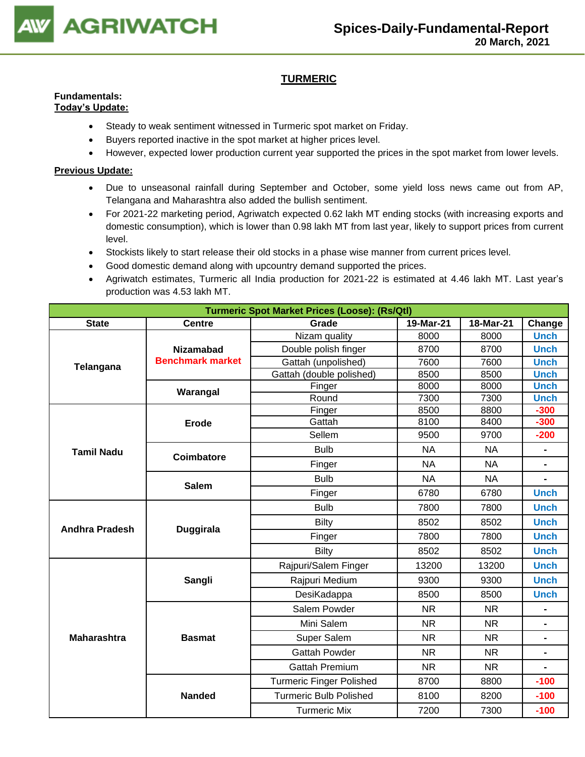

# **TURMERIC**

# **Fundamentals:**

# **Today's Update:**

- Steady to weak sentiment witnessed in Turmeric spot market on Friday.
- Buyers reported inactive in the spot market at higher prices level.
- However, expected lower production current year supported the prices in the spot market from lower levels.

- Due to unseasonal rainfall during September and October, some yield loss news came out from AP, Telangana and Maharashtra also added the bullish sentiment.
- For 2021-22 marketing period, Agriwatch expected 0.62 lakh MT ending stocks (with increasing exports and domestic consumption), which is lower than 0.98 lakh MT from last year, likely to support prices from current level.
- Stockists likely to start release their old stocks in a phase wise manner from current prices level.
- Good domestic demand along with upcountry demand supported the prices.
- Agriwatch estimates, Turmeric all India production for 2021-22 is estimated at 4.46 lakh MT. Last year's production was 4.53 lakh MT.

|                       |                         | <b>Turmeric Spot Market Prices (Loose): (Rs/Qtl)</b> |           |           |                |
|-----------------------|-------------------------|------------------------------------------------------|-----------|-----------|----------------|
| <b>State</b>          | <b>Centre</b>           | Grade                                                | 19-Mar-21 | 18-Mar-21 | Change         |
|                       |                         | Nizam quality                                        | 8000      | 8000      | <b>Unch</b>    |
| Telangana             | <b>Nizamabad</b>        | Double polish finger                                 | 8700      | 8700      | <b>Unch</b>    |
|                       | <b>Benchmark market</b> | Gattah (unpolished)                                  | 7600      | 7600      | <b>Unch</b>    |
|                       |                         | Gattah (double polished)                             | 8500      | 8500      | <b>Unch</b>    |
|                       | Warangal                | Finger                                               | 8000      | 8000      | <b>Unch</b>    |
|                       |                         | Round                                                | 7300      | 7300      | <b>Unch</b>    |
|                       |                         | Finger                                               | 8500      | 8800      | $-300$         |
|                       | <b>Erode</b>            | Gattah                                               | 8100      | 8400      | $-300$         |
|                       |                         | Sellem                                               | 9500      | 9700      | $-200$         |
| <b>Tamil Nadu</b>     | Coimbatore              | <b>Bulb</b>                                          | <b>NA</b> | <b>NA</b> | $\blacksquare$ |
|                       |                         | Finger                                               | <b>NA</b> | <b>NA</b> |                |
|                       | <b>Salem</b>            | <b>Bulb</b>                                          | <b>NA</b> | <b>NA</b> | $\blacksquare$ |
|                       |                         | Finger                                               | 6780      | 6780      | <b>Unch</b>    |
|                       |                         | <b>Bulb</b>                                          | 7800      | 7800      | <b>Unch</b>    |
| <b>Andhra Pradesh</b> |                         | <b>Bilty</b>                                         | 8502      | 8502      | <b>Unch</b>    |
|                       | <b>Duggirala</b>        | Finger                                               | 7800      | 7800      | <b>Unch</b>    |
|                       |                         | Bilty                                                | 8502      | 8502      | <b>Unch</b>    |
|                       |                         | Rajpuri/Salem Finger                                 | 13200     | 13200     | <b>Unch</b>    |
|                       | Sangli                  | Rajpuri Medium                                       | 9300      | 9300      | <b>Unch</b>    |
|                       |                         | DesiKadappa                                          | 8500      | 8500      | <b>Unch</b>    |
|                       |                         | Salem Powder                                         | <b>NR</b> | <b>NR</b> |                |
|                       |                         | Mini Salem                                           | <b>NR</b> | <b>NR</b> | $\blacksquare$ |
| <b>Maharashtra</b>    | <b>Basmat</b>           | Super Salem                                          | <b>NR</b> | <b>NR</b> | $\blacksquare$ |
|                       |                         | <b>Gattah Powder</b>                                 | <b>NR</b> | <b>NR</b> | $\blacksquare$ |
|                       |                         | <b>Gattah Premium</b>                                | <b>NR</b> | <b>NR</b> |                |
|                       |                         | <b>Turmeric Finger Polished</b>                      | 8700      | 8800      | $-100$         |
|                       | <b>Nanded</b>           | <b>Turmeric Bulb Polished</b>                        | 8100      | 8200      | $-100$         |
|                       |                         | <b>Turmeric Mix</b>                                  | 7200      | 7300      | $-100$         |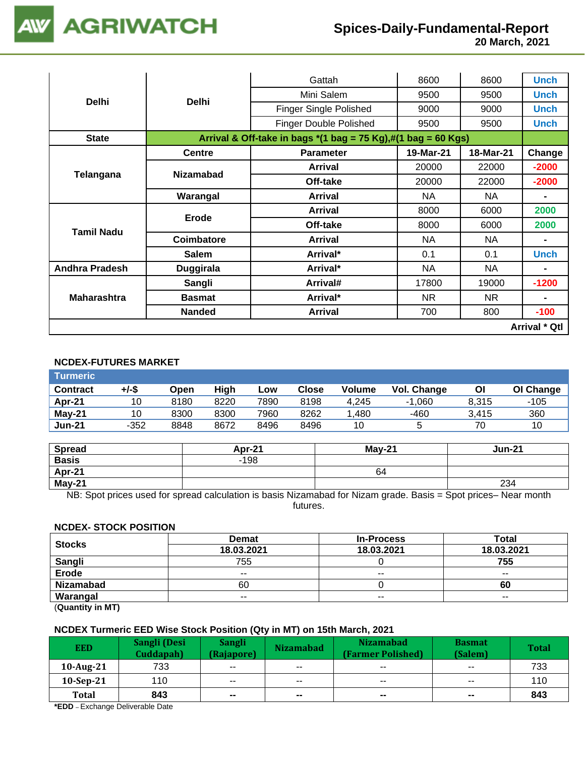

|                       |                  | Gattah                                                                                          | 8600      | 8600      | <b>Unch</b>          |
|-----------------------|------------------|-------------------------------------------------------------------------------------------------|-----------|-----------|----------------------|
| <b>Delhi</b>          | <b>Delhi</b>     | Mini Salem                                                                                      | 9500      | 9500      | <b>Unch</b>          |
|                       |                  | Finger Single Polished                                                                          | 9000      | 9000      | <b>Unch</b>          |
|                       |                  | <b>Finger Double Polished</b>                                                                   | 9500      | 9500      | <b>Unch</b>          |
| <b>State</b>          |                  | Arrival & Off-take in bags $*(1 \text{ bag} = 75 \text{ Kg}),\#(1 \text{ bag} = 60 \text{ Kg})$ |           |           |                      |
|                       | <b>Centre</b>    | <b>Parameter</b>                                                                                | 19-Mar-21 | 18-Mar-21 | Change               |
| Telangana             |                  | <b>Arrival</b>                                                                                  | 20000     | 22000     | $-2000$              |
|                       | <b>Nizamabad</b> | Off-take                                                                                        | 20000     | 22000     | $-2000$              |
|                       | Warangal         | <b>Arrival</b>                                                                                  | <b>NA</b> | <b>NA</b> |                      |
|                       |                  | <b>Arrival</b>                                                                                  | 8000      | 6000      | 2000                 |
| <b>Tamil Nadu</b>     | Erode            | Off-take                                                                                        | 8000      | 6000      | 2000                 |
|                       | Coimbatore       | <b>Arrival</b>                                                                                  | NA        | NA.       |                      |
|                       | <b>Salem</b>     | Arrival*                                                                                        | 0.1       | 0.1       | <b>Unch</b>          |
| <b>Andhra Pradesh</b> | <b>Duggirala</b> | Arrival*                                                                                        | NA.       | NA.       | $\blacksquare$       |
|                       | Sangli           | Arrival#                                                                                        | 17800     | 19000     | $-1200$              |
| <b>Maharashtra</b>    | <b>Basmat</b>    | Arrival*                                                                                        | NR.       | NR.       | $\blacksquare$       |
|                       | <b>Nanded</b>    | <b>Arrival</b>                                                                                  | 700       | 800       | $-100$               |
|                       |                  |                                                                                                 |           |           | <b>Arrival * Qtl</b> |

# **NCDEX-FUTURES MARKET**

| Turmeric        |        |      |      |      |       |               |             |       |           |
|-----------------|--------|------|------|------|-------|---------------|-------------|-------|-----------|
| <b>Contract</b> | +/-\$  | Open | High | Low  | Close | <b>Volume</b> | Vol. Change | Οl    | OI Change |
| Apr-21          | 10     | 8180 | 8220 | 7890 | 8198  | 4.245         | .060        | 8.315 | -105      |
| $Mav-21$        | 10     | 8300 | 8300 | 7960 | 8262  | .480          | -460        | 3.415 | 360       |
| <b>Jun-21</b>   | $-352$ | 8848 | 8672 | 8496 | 8496  | 10            |             | 70    | 10        |

| <b>Spread</b> | <b>Apr-21</b> | $Mav-21$ | <b>Jun-21</b> |
|---------------|---------------|----------|---------------|
| <b>Basis</b>  | $-198$        |          |               |
| Apr-21        |               | 64       |               |
| May-21        |               |          | 234           |

NB: Spot prices used for spread calculation is basis Nizamabad for Nizam grade. Basis = Spot prices– Near month futures.

### **NCDEX- STOCK POSITION**

| <b>Stocks</b>    | <b>Demat</b>  | <b>In-Process</b>        | Total         |
|------------------|---------------|--------------------------|---------------|
|                  | 18.03.2021    | 18.03.2021               | 18.03.2021    |
| Sangli           | 755           |                          | 755           |
| Erode            | $\sim$ $\sim$ | $\overline{\phantom{a}}$ | $\sim$ $\sim$ |
| <b>Nizamabad</b> | 60            |                          | 60            |
| Warangal         | $- -$         | $\overline{\phantom{a}}$ | $- -$         |

(**Quantity in MT)**

### **NCDEX Turmeric EED Wise Stock Position (Qty in MT) on 15th March, 2021**

| <b>EED</b>                            | Sangli (Desi<br>Cuddapah) | <b>Sangli</b><br>(Rajapore) | <b>Nizamabad</b> | <b>Nizamabad</b><br>(Farmer Polished) | <b>Basmat</b><br>(Salem) | <b>Total</b> |
|---------------------------------------|---------------------------|-----------------------------|------------------|---------------------------------------|--------------------------|--------------|
| $10$ -Aug-21                          | 733                       | $- -$                       | $- -$            | $- -$                                 | $- -$                    | 733          |
| $10-Sep-21$                           | 110                       | $- -$                       | $- -$            | $\sim$ $\sim$                         | $\sim$ $\sim$            | 110          |
| <b>Total</b>                          | 843                       | $- -$                       | $\sim$           | $- -$                                 | $\sim$                   | 843          |
| <b>*EDD</b> Evahange Deliverable Data |                           |                             |                  |                                       |                          |              |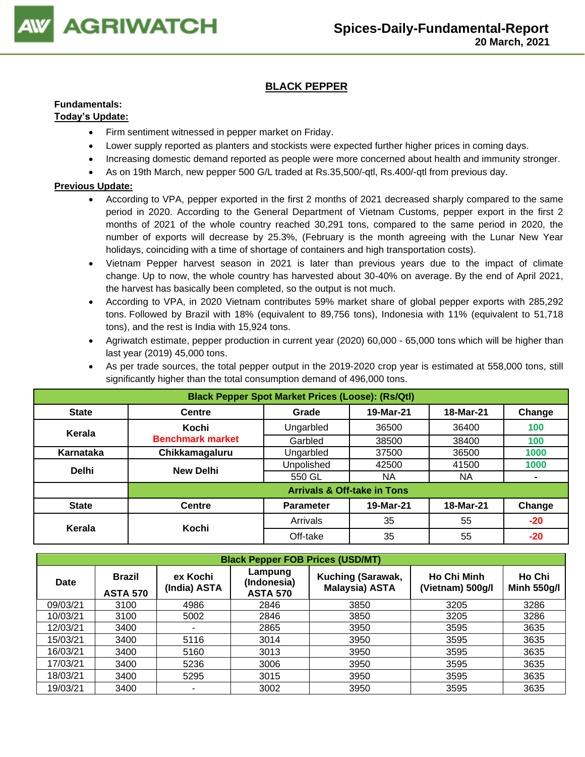

# **BLACK PEPPER**

# **Fundamentals:**

## **Today's Update:**

- Firm sentiment witnessed in pepper market on Friday.
- Lower supply reported as planters and stockists were expected further higher prices in coming days.
- Increasing domestic demand reported as people were more concerned about health and immunity stronger.
- As on 19th March, new pepper 500 G/L traded at Rs.35,500/-qtl, Rs.400/-qtl from previous day.

- According to VPA, pepper exported in the first 2 months of 2021 decreased sharply compared to the same period in 2020. According to the General Department of Vietnam Customs, pepper export in the first 2 months of 2021 of the whole country reached 30,291 tons, compared to the same period in 2020, the number of exports will decrease by 25.3%, (February is the month agreeing with the Lunar New Year holidays, coinciding with a time of shortage of containers and high transportation costs).
- Vietnam Pepper harvest season in 2021 is later than previous years due to the impact of climate change. Up to now, the whole country has harvested about 30-40% on average. By the end of April 2021, the harvest has basically been completed, so the output is not much.
- According to VPA, in 2020 Vietnam contributes 59% market share of global pepper exports with 285,292 tons. Followed by Brazil with 18% (equivalent to 89,756 tons), Indonesia with 11% (equivalent to 51,718 tons), and the rest is India with 15,924 tons.
- Agriwatch estimate, pepper production in current year (2020) 60,000 65,000 tons which will be higher than last year (2019) 45,000 tons.

|                                                              | As per trade sources, the total pepper output in the 2019-2020 crop year is estimated at 558,000 tons, still<br>significantly higher than the total consumption demand of 496,000 tons. |  |  |  |  |  |  |  |
|--------------------------------------------------------------|-----------------------------------------------------------------------------------------------------------------------------------------------------------------------------------------|--|--|--|--|--|--|--|
| <b>Black Pepper Spot Market Prices (Loose): (Rs/Qtl)</b>     |                                                                                                                                                                                         |  |  |  |  |  |  |  |
| State<br>19-Mar-21<br>18-Mar-21<br>Change<br>Grade<br>Centre |                                                                                                                                                                                         |  |  |  |  |  |  |  |

| <b>State</b> | <b>Centre</b>           | Grade                                  | 19-Mar-21 | 18-Mar-21 | Change |
|--------------|-------------------------|----------------------------------------|-----------|-----------|--------|
| Kerala       | Kochi                   | Ungarbled                              | 36500     | 36400     | 100    |
|              | <b>Benchmark market</b> | Garbled                                | 38500     | 38400     | 100    |
| Karnataka    | Chikkamagaluru          | Ungarbled                              | 37500     | 36500     | 1000   |
| <b>Delhi</b> | <b>New Delhi</b>        | Unpolished                             | 42500     | 41500     | 1000   |
|              |                         | 550 GL                                 | NA.       | NA        |        |
|              |                         | <b>Arrivals &amp; Off-take in Tons</b> |           |           |        |
| <b>State</b> | <b>Centre</b>           | <b>Parameter</b>                       | 19-Mar-21 | 18-Mar-21 | Change |
|              | Kochi                   | Arrivals                               | 35        | 55        | $-20$  |
| Kerala       |                         | Off-take                               | 35        | 55        | $-20$  |

| <b>Black Pepper FOB Prices (USD/MT)</b> |                                  |                          |                                           |                                            |                                        |                              |  |  |
|-----------------------------------------|----------------------------------|--------------------------|-------------------------------------------|--------------------------------------------|----------------------------------------|------------------------------|--|--|
| <b>Date</b>                             | <b>Brazil</b><br><b>ASTA 570</b> | ex Kochi<br>(India) ASTA | Lampung<br>(Indonesia)<br><b>ASTA 570</b> | Kuching (Sarawak,<br><b>Malaysia) ASTA</b> | <b>Ho Chi Minh</b><br>(Vietnam) 500g/l | Ho Chi<br><b>Minh 550g/l</b> |  |  |
| 09/03/21                                | 3100                             | 4986                     | 2846                                      | 3850                                       | 3205                                   | 3286                         |  |  |
| 10/03/21                                | 3100                             | 5002                     | 2846                                      | 3850                                       | 3205                                   | 3286                         |  |  |
| 12/03/21                                | 3400                             |                          | 2865                                      | 3950                                       | 3595                                   | 3635                         |  |  |
| 15/03/21                                | 3400                             | 5116                     | 3014                                      | 3950                                       | 3595                                   | 3635                         |  |  |
| 16/03/21                                | 3400                             | 5160                     | 3013                                      | 3950                                       | 3595                                   | 3635                         |  |  |
| 17/03/21                                | 3400                             | 5236                     | 3006                                      | 3950                                       | 3595                                   | 3635                         |  |  |
| 18/03/21                                | 3400                             | 5295                     | 3015                                      | 3950                                       | 3595                                   | 3635                         |  |  |
| 19/03/21                                | 3400                             |                          | 3002                                      | 3950                                       | 3595                                   | 3635                         |  |  |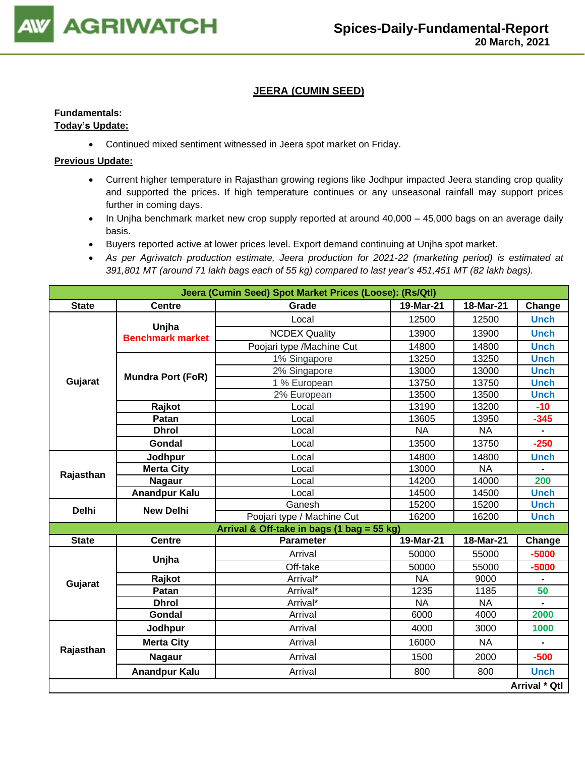

# **JEERA (CUMIN SEED)**

# **Fundamentals:**

## **Today's Update:**

• Continued mixed sentiment witnessed in Jeera spot market on Friday.

- Current higher temperature in Rajasthan growing regions like Jodhpur impacted Jeera standing crop quality and supported the prices. If high temperature continues or any unseasonal rainfall may support prices further in coming days.
- In Unjha benchmark market new crop supply reported at around 40,000 45,000 bags on an average daily basis.
- Buyers reported active at lower prices level. Export demand continuing at Unjha spot market.
- *As per Agriwatch production estimate, Jeera production for 2021-22 (marketing period) is estimated at 391,801 MT (around 71 lakh bags each of 55 kg) compared to last year's 451,451 MT (82 lakh bags).*

|              | Jeera (Cumin Seed) Spot Market Prices (Loose): (Rs/Qtl) |                                            |           |           |                      |  |  |  |  |  |
|--------------|---------------------------------------------------------|--------------------------------------------|-----------|-----------|----------------------|--|--|--|--|--|
| <b>State</b> | <b>Centre</b>                                           | Grade                                      | 19-Mar-21 | 18-Mar-21 | Change               |  |  |  |  |  |
|              | Unjha                                                   | Local                                      | 12500     | 12500     | <b>Unch</b>          |  |  |  |  |  |
|              | <b>Benchmark market</b>                                 | <b>NCDEX Quality</b>                       | 13900     | 13900     | <b>Unch</b>          |  |  |  |  |  |
|              |                                                         | Poojari type /Machine Cut                  | 14800     | 14800     | <b>Unch</b>          |  |  |  |  |  |
|              |                                                         | 1% Singapore                               | 13250     | 13250     | <b>Unch</b>          |  |  |  |  |  |
|              | <b>Mundra Port (FoR)</b>                                | 2% Singapore                               | 13000     | 13000     | <b>Unch</b>          |  |  |  |  |  |
| Gujarat      |                                                         | 1 % European                               | 13750     | 13750     | <b>Unch</b>          |  |  |  |  |  |
|              |                                                         | 2% European                                | 13500     | 13500     | <b>Unch</b>          |  |  |  |  |  |
|              | Rajkot                                                  | Local                                      | 13190     | 13200     | $-10$                |  |  |  |  |  |
|              | Patan                                                   | Local                                      | 13605     | 13950     | $-345$               |  |  |  |  |  |
|              | <b>Dhrol</b>                                            | Local                                      | <b>NA</b> | <b>NA</b> | $\blacksquare$       |  |  |  |  |  |
|              | Gondal                                                  | Local                                      | 13500     | 13750     | $-250$               |  |  |  |  |  |
|              | Jodhpur                                                 | Local                                      | 14800     | 14800     | <b>Unch</b>          |  |  |  |  |  |
|              | <b>Merta City</b>                                       | Local                                      | 13000     | <b>NA</b> |                      |  |  |  |  |  |
| Rajasthan    | <b>Nagaur</b>                                           | Local                                      | 14200     | 14000     | 200                  |  |  |  |  |  |
|              | <b>Anandpur Kalu</b>                                    | Local                                      | 14500     | 14500     | <b>Unch</b>          |  |  |  |  |  |
| <b>Delhi</b> | <b>New Delhi</b>                                        | Ganesh                                     | 15200     | 15200     | <b>Unch</b>          |  |  |  |  |  |
|              |                                                         | Poojari type / Machine Cut                 | 16200     | 16200     | <b>Unch</b>          |  |  |  |  |  |
|              |                                                         | Arrival & Off-take in bags (1 bag = 55 kg) |           |           |                      |  |  |  |  |  |
| <b>State</b> | <b>Centre</b>                                           | <b>Parameter</b>                           | 19-Mar-21 | 18-Mar-21 | Change               |  |  |  |  |  |
|              | Unjha                                                   | Arrival                                    | 50000     | 55000     | $-5000$              |  |  |  |  |  |
|              |                                                         | Off-take                                   | 50000     | 55000     | $-5000$              |  |  |  |  |  |
| Gujarat      | Rajkot                                                  | Arrival*                                   | <b>NA</b> | 9000      |                      |  |  |  |  |  |
|              | Patan                                                   | Arrival*                                   | 1235      | 1185      | 50                   |  |  |  |  |  |
|              | <b>Dhrol</b>                                            | Arrival*                                   | <b>NA</b> | <b>NA</b> |                      |  |  |  |  |  |
|              | Gondal                                                  | Arrival                                    | 6000      | 4000      | 2000                 |  |  |  |  |  |
|              | Jodhpur                                                 | Arrival                                    | 4000      | 3000      | 1000                 |  |  |  |  |  |
|              | <b>Merta City</b>                                       | Arrival                                    | 16000     | <b>NA</b> |                      |  |  |  |  |  |
| Rajasthan    | <b>Nagaur</b>                                           | Arrival                                    | 1500      | 2000      | $-500$               |  |  |  |  |  |
|              | <b>Anandpur Kalu</b>                                    | Arrival                                    | 800       | 800       | <b>Unch</b>          |  |  |  |  |  |
|              |                                                         |                                            |           |           | <b>Arrival * Qtl</b> |  |  |  |  |  |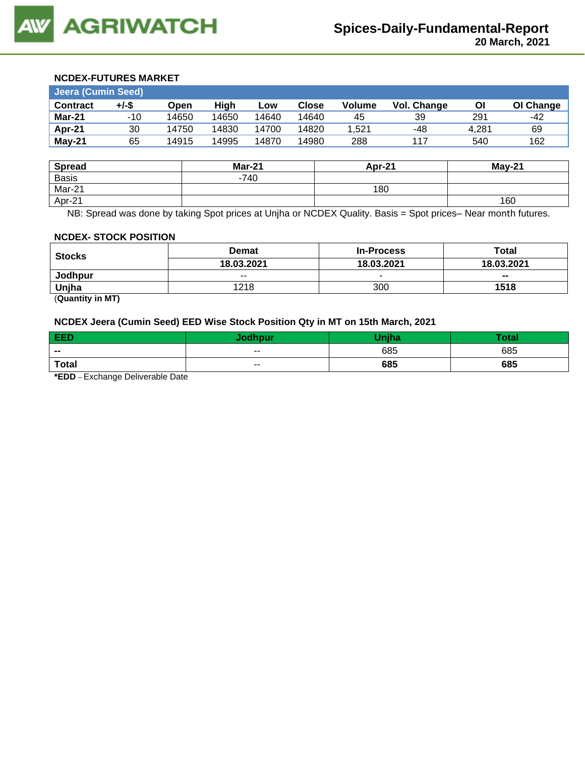#### **NCDEX-FUTURES MARKET**

| <b>Jeera (Cumin Seed)</b> |       |       |       |       |              |               |                    |       |           |  |
|---------------------------|-------|-------|-------|-------|--------------|---------------|--------------------|-------|-----------|--|
| <b>Contract</b>           | +/-\$ | Open  | High  | LOW   | <b>Close</b> | <b>Volume</b> | <b>Vol. Change</b> | Οl    | OI Change |  |
| Mar-21                    | $-10$ | 14650 | 14650 | 14640 | 14640        | 45            | 39                 | 291   | -42       |  |
| Apr-21                    | 30    | 14750 | 14830 | 14700 | 14820        | 1.521         | -48                | 4.281 | 69        |  |
| May-21                    | 65    | 14915 | 14995 | 14870 | 14980        | 288           | 117                | 540   | 162       |  |

| <b>Spread</b> | <b>Mar-21</b> | Apr-21 | May-21 |
|---------------|---------------|--------|--------|
| <b>Basis</b>  | $-740$        |        |        |
| Mar-21        |               | 180    |        |
| Apr-21        |               |        | 160    |

NB: Spread was done by taking Spot prices at Unjha or NCDEX Quality. Basis = Spot prices– Near month futures.

#### **NCDEX- STOCK POSITION**

| <b>Stocks</b> | <b>Demat</b>  | <b>In-Process</b> | Total                    |
|---------------|---------------|-------------------|--------------------------|
|               | 18.03.2021    | 18.03.2021        | 18.03.2021               |
| Jodhpur       | $\sim$ $\sim$ |                   | $\overline{\phantom{a}}$ |
| Uniha         | 1218          | 300               | 1518                     |

(**Quantity in MT)**

## **NCDEX Jeera (Cumin Seed) EED Wise Stock Position Qty in MT on 15th March, 2021**

| <b>EED</b>                         | <b>Jodhpur</b> | <b>Maiha</b> | <b>Total</b> |
|------------------------------------|----------------|--------------|--------------|
| $- -$                              | $- -$          | 685          | 685          |
| <b>Total</b>                       | $- -$          | 685          | 685          |
| *EDD.<br>Evebongo Deliverable Date |                |              |              |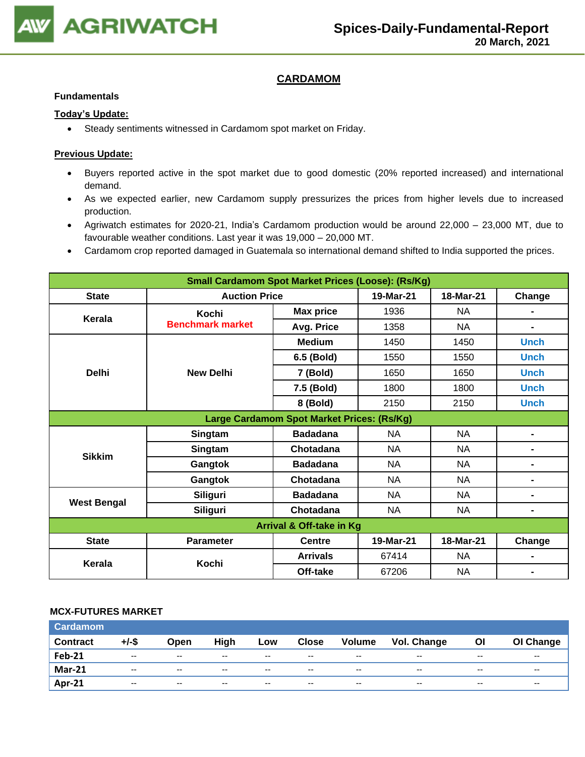

# **CARDAMOM**

#### **Fundamentals**

### **Today's Update:**

• Steady sentiments witnessed in Cardamom spot market on Friday.

### **Previous Update:**

- Buyers reported active in the spot market due to good domestic (20% reported increased) and international demand.
- As we expected earlier, new Cardamom supply pressurizes the prices from higher levels due to increased production.
- Agriwatch estimates for 2020-21, India's Cardamom production would be around 22,000 23,000 MT, due to favourable weather conditions. Last year it was 19,000 – 20,000 MT.
- Cardamom crop reported damaged in Guatemala so international demand shifted to India supported the prices.

| <b>Small Cardamom Spot Market Prices (Loose): (Rs/Kg)</b> |                         |                                            |           |           |                |  |  |
|-----------------------------------------------------------|-------------------------|--------------------------------------------|-----------|-----------|----------------|--|--|
| <b>State</b>                                              | <b>Auction Price</b>    |                                            | 19-Mar-21 | 18-Mar-21 | Change         |  |  |
| Kerala                                                    | Kochi                   | <b>Max price</b>                           | 1936      | <b>NA</b> |                |  |  |
|                                                           | <b>Benchmark market</b> | Avg. Price                                 | 1358      | <b>NA</b> | $\blacksquare$ |  |  |
|                                                           |                         | <b>Medium</b>                              | 1450      | 1450      | <b>Unch</b>    |  |  |
|                                                           |                         | 6.5 (Bold)                                 | 1550      | 1550      | <b>Unch</b>    |  |  |
| <b>Delhi</b>                                              | <b>New Delhi</b>        | 7 (Bold)                                   | 1650      | 1650      | <b>Unch</b>    |  |  |
|                                                           |                         | 7.5 (Bold)                                 | 1800      | 1800      | <b>Unch</b>    |  |  |
|                                                           |                         |                                            | 2150      | 2150      | <b>Unch</b>    |  |  |
|                                                           |                         | Large Cardamom Spot Market Prices: (Rs/Kg) |           |           |                |  |  |
| <b>Sikkim</b>                                             | Singtam                 | <b>Badadana</b>                            | <b>NA</b> | <b>NA</b> |                |  |  |
|                                                           | Singtam                 | Chotadana                                  | <b>NA</b> | <b>NA</b> | $\blacksquare$ |  |  |
|                                                           | Gangtok                 | <b>Badadana</b>                            | <b>NA</b> | <b>NA</b> |                |  |  |
|                                                           | Gangtok                 | Chotadana                                  | <b>NA</b> | <b>NA</b> | $\blacksquare$ |  |  |
|                                                           | <b>Siliguri</b>         | <b>Badadana</b>                            | NA        | NA        | $\blacksquare$ |  |  |
| <b>West Bengal</b>                                        | Siliguri                | Chotadana                                  | <b>NA</b> | <b>NA</b> | $\blacksquare$ |  |  |
|                                                           |                         | Arrival & Off-take in Kg                   |           |           |                |  |  |
| <b>State</b>                                              | <b>Parameter</b>        | <b>Centre</b>                              | 19-Mar-21 | 18-Mar-21 | Change         |  |  |
| Kerala                                                    | Kochi                   | <b>Arrivals</b>                            | 67414     | <b>NA</b> |                |  |  |
|                                                           |                         | Off-take                                   | 67206     | <b>NA</b> |                |  |  |

### **MCX-FUTURES MARKET**

| <b>Cardamom</b> |                          |                          |               |               |              |                          |                    |           |           |
|-----------------|--------------------------|--------------------------|---------------|---------------|--------------|--------------------------|--------------------|-----------|-----------|
| <b>Contract</b> | $+/-$ \$                 | Open                     | High          | Low           | <b>Close</b> | <b>Volume</b>            | <b>Vol. Change</b> | <b>OI</b> | OI Change |
| <b>Feb-21</b>   | $- -$                    | $- -$                    | $- -$         | $- -$         | $- -$        | $- -$                    | $- -$              | $- -$     | $- -$     |
| <b>Mar-21</b>   | $\overline{\phantom{a}}$ | $\overline{\phantom{a}}$ | $\sim$ $\sim$ | $\sim$ $\sim$ | $- -$        | $- -$                    | $- -$              | $- -$     | $- -$     |
| <b>Apr-21</b>   | $-$                      | $-$                      | $- -$         | $-$           | $-$          | $\overline{\phantom{a}}$ | $- -$              | $- -$     | $- -$     |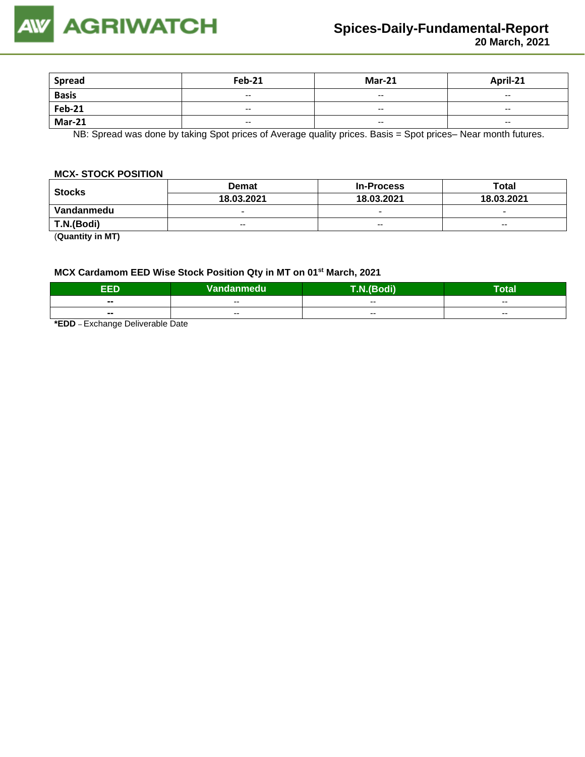

| <b>Spread</b>   | <b>Feb-21</b> | <b>Mar-21</b>            | April-21 |
|-----------------|---------------|--------------------------|----------|
| Basis<br>Feb-21 | $\sim$        | $\overline{\phantom{a}}$ | $- -$    |
|                 | $- -$         | $- -$                    | $- -$    |
| <b>Mar-21</b>   | $- -$         | $- -$                    | $- -$    |

NB: Spread was done by taking Spot prices of Average quality prices. Basis = Spot prices– Near month futures.

### **MCX- STOCK POSITION**

| <b>Stocks</b> | <b>Demat</b>             | <b>In-Process</b>        | Total                    |
|---------------|--------------------------|--------------------------|--------------------------|
|               | 18.03.2021               | 18.03.2021               | 18.03.2021               |
| Vandanmedu    | $\overline{\phantom{0}}$ | $\overline{\phantom{0}}$ | $\overline{\phantom{0}}$ |
| T.N.(Bodi)    | $-$                      | $-$                      | $- -$                    |
|               |                          |                          |                          |

(**Quantity in MT)**

# **MCX Cardamom EED Wise Stock Position Qty in MT on 01st March, 2021**

| EED                      | <b>Vandanmedu</b> | T.N.(Bodi) | -<br>Total |
|--------------------------|-------------------|------------|------------|
| $\blacksquare$           | $- -$             | $- -$      | $- -$      |
| $\overline{\phantom{a}}$ | $- -$             | $- -$      | $- -$      |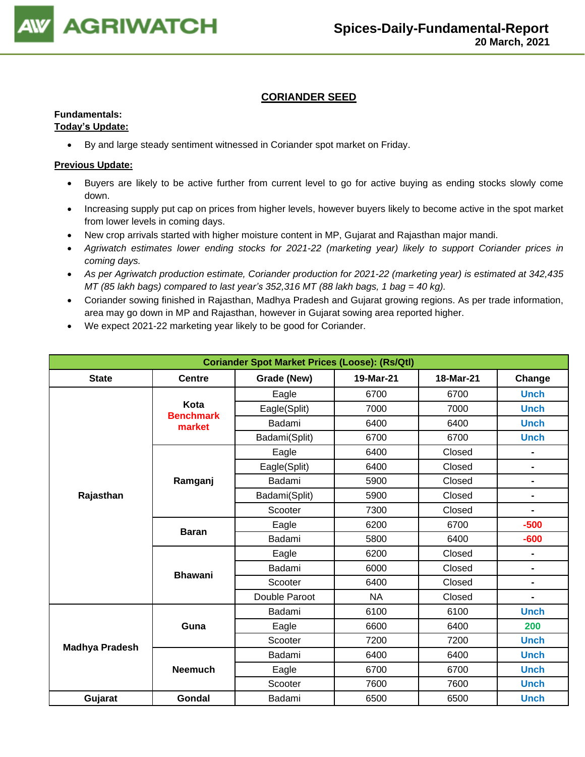

# **CORIANDER SEED**

# **Fundamentals:**

# **Today's Update:**

• By and large steady sentiment witnessed in Coriander spot market on Friday.

- Buyers are likely to be active further from current level to go for active buying as ending stocks slowly come down.
- Increasing supply put cap on prices from higher levels, however buyers likely to become active in the spot market from lower levels in coming days.
- New crop arrivals started with higher moisture content in MP, Gujarat and Rajasthan major mandi.
- *Agriwatch estimates lower ending stocks for 2021-22 (marketing year) likely to support Coriander prices in coming days.*
- *As per Agriwatch production estimate, Coriander production for 2021-22 (marketing year) is estimated at 342,435 MT (85 lakh bags) compared to last year's 352,316 MT (88 lakh bags, 1 bag = 40 kg).*
- Coriander sowing finished in Rajasthan, Madhya Pradesh and Gujarat growing regions. As per trade information, area may go down in MP and Rajasthan, however in Gujarat sowing area reported higher.
- We expect 2021-22 marketing year likely to be good for Coriander.

| <b>Coriander Spot Market Prices (Loose): (Rs/Qtl)</b> |                          |               |           |           |                |  |  |  |  |
|-------------------------------------------------------|--------------------------|---------------|-----------|-----------|----------------|--|--|--|--|
| <b>State</b>                                          | <b>Centre</b>            | Grade (New)   | 19-Mar-21 | 18-Mar-21 | Change         |  |  |  |  |
|                                                       |                          | Eagle         | 6700      | 6700      | <b>Unch</b>    |  |  |  |  |
|                                                       | Kota<br><b>Benchmark</b> | Eagle(Split)  | 7000      | 7000      | <b>Unch</b>    |  |  |  |  |
|                                                       | market                   | Badami        | 6400      | 6400      | <b>Unch</b>    |  |  |  |  |
|                                                       |                          | Badami(Split) | 6700      | 6700      | <b>Unch</b>    |  |  |  |  |
|                                                       |                          | Eagle         | 6400      | Closed    | -              |  |  |  |  |
|                                                       |                          | Eagle(Split)  | 6400      | Closed    | $\blacksquare$ |  |  |  |  |
|                                                       | Ramganj                  | Badami        | 5900      | Closed    | -              |  |  |  |  |
| Rajasthan                                             |                          | Badami(Split) | 5900      | Closed    | $\blacksquare$ |  |  |  |  |
|                                                       |                          | Scooter       | 7300      | Closed    |                |  |  |  |  |
|                                                       | <b>Baran</b>             | Eagle         | 6200      | 6700      | $-500$         |  |  |  |  |
|                                                       |                          | Badami        | 5800      | 6400      | $-600$         |  |  |  |  |
|                                                       |                          | Eagle         | 6200      | Closed    |                |  |  |  |  |
|                                                       | <b>Bhawani</b>           | Badami        | 6000      | Closed    |                |  |  |  |  |
|                                                       |                          | Scooter       | 6400      | Closed    | -              |  |  |  |  |
|                                                       |                          | Double Paroot | <b>NA</b> | Closed    | $\blacksquare$ |  |  |  |  |
|                                                       |                          | Badami        | 6100      | 6100      | <b>Unch</b>    |  |  |  |  |
|                                                       | Guna                     | Eagle         | 6600      | 6400      | 200            |  |  |  |  |
| <b>Madhya Pradesh</b>                                 |                          | Scooter       | 7200      | 7200      | <b>Unch</b>    |  |  |  |  |
|                                                       |                          | Badami        | 6400      | 6400      | <b>Unch</b>    |  |  |  |  |
|                                                       | <b>Neemuch</b>           | Eagle         | 6700      | 6700      | <b>Unch</b>    |  |  |  |  |
|                                                       |                          | Scooter       | 7600      | 7600      | <b>Unch</b>    |  |  |  |  |
| Gujarat                                               | Gondal                   | Badami        | 6500      | 6500      | <b>Unch</b>    |  |  |  |  |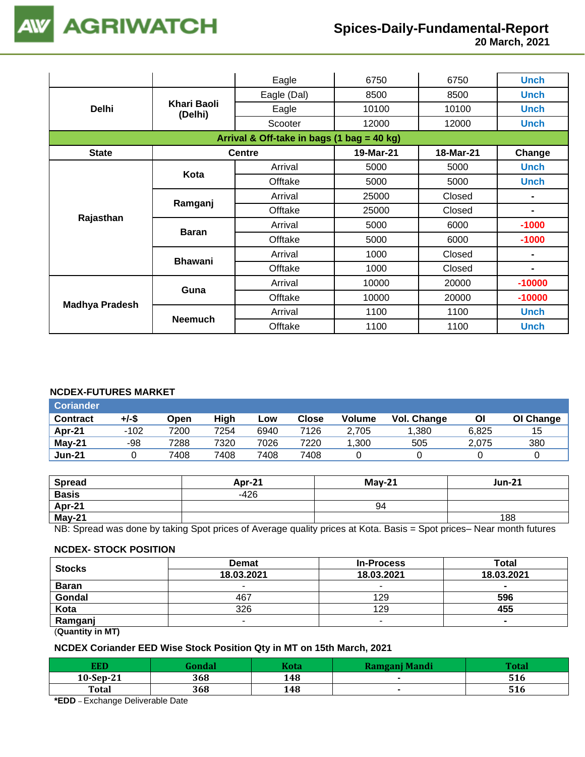

 **20 March, 2021**

|                       |                        | Eagle                                             | 6750  | 6750   | <b>Unch</b>    |  |
|-----------------------|------------------------|---------------------------------------------------|-------|--------|----------------|--|
|                       |                        | Eagle (Dal)                                       | 8500  | 8500   | <b>Unch</b>    |  |
| <b>Delhi</b>          | Khari Baoli<br>(Delhi) | Eagle                                             | 10100 | 10100  | <b>Unch</b>    |  |
|                       |                        | Scooter                                           | 12000 | 12000  | <b>Unch</b>    |  |
|                       |                        | Arrival & Off-take in bags (1 bag = 40 kg)        |       |        |                |  |
| <b>State</b>          |                        | <b>Centre</b><br>19-Mar-21<br>18-Mar-21<br>Change |       |        |                |  |
|                       | Kota                   | Arrival                                           | 5000  | 5000   | <b>Unch</b>    |  |
|                       |                        | Offtake                                           | 5000  | 5000   | <b>Unch</b>    |  |
|                       | Ramganj                | Arrival                                           | 25000 | Closed |                |  |
|                       |                        | Offtake                                           | 25000 | Closed |                |  |
| Rajasthan             |                        | Arrival                                           | 5000  | 6000   | $-1000$        |  |
|                       | <b>Baran</b>           | Offtake                                           | 5000  | 6000   | $-1000$        |  |
|                       | <b>Bhawani</b>         | Arrival                                           | 1000  | Closed | $\blacksquare$ |  |
|                       |                        | Offtake                                           | 1000  | Closed | ٠              |  |
|                       | Guna                   | Arrival                                           | 10000 | 20000  | $-10000$       |  |
|                       |                        | Offtake                                           | 10000 | 20000  | $-10000$       |  |
| <b>Madhya Pradesh</b> |                        | Arrival                                           | 1100  | 1100   | <b>Unch</b>    |  |
|                       | <b>Neemuch</b>         | Offtake                                           | 1100  | 1100   | <b>Unch</b>    |  |

### **NCDEX-FUTURES MARKET**

| <b>Coriander</b> |        |      |      |      |       |               |             |       |           |
|------------------|--------|------|------|------|-------|---------------|-------------|-------|-----------|
| <b>Contract</b>  | +/-\$  | Open | High | Low  | Close | <b>Volume</b> | Vol. Change | ΟI    | OI Change |
| Apr-21           | $-102$ | 7200 | 7254 | 6940 | 7126  | 2.705         | .380        | 6.825 | 15        |
| May-21           | -98    | 7288 | 7320 | 7026 | 7220  | 1.300         | 505         | 2.075 | 380       |
| <b>Jun-21</b>    |        | 7408 | 7408 | 7408 | 7408  |               |             |       |           |

| Spread       | Apr-21 | $May-21$ | <b>Jun-21</b> |
|--------------|--------|----------|---------------|
| <b>Basis</b> | $-426$ |          |               |
| Apr-21       |        | 94       |               |
| May-21       |        |          | 188           |

NB: Spread was done by taking Spot prices of Average quality prices at Kota. Basis = Spot prices– Near month futures

#### **NCDEX- STOCK POSITION**

| <b>Stocks</b>                                  | <b>Demat</b> | <b>In-Process</b> | Total          |
|------------------------------------------------|--------------|-------------------|----------------|
|                                                | 18.03.2021   | 18.03.2021        | 18.03.2021     |
| <b>Baran</b>                                   | -            |                   | $\blacksquare$ |
| Gondal                                         | 467          | 129               | 596            |
| Kota                                           | 326          | 129               | 455            |
| Ramganj                                        | -            | $\sim$            | $\blacksquare$ |
| $\mathbf{A}$ and $\mathbf{A}$ and $\mathbf{A}$ |              |                   |                |

(**Quantity in MT)**

## **NCDEX Coriander EED Wise Stock Position Qty in MT on 15th March, 2021**

| EED                                 |     | Kota | Ramganj Mandi | Tata |
|-------------------------------------|-----|------|---------------|------|
| $10-Sep-21$                         | 368 | 148  |               | 516  |
| Total                               | 368 | 148  |               | 516  |
| $\sim$ $\sim$ $\sim$ $\sim$<br>$ -$ | .   |      |               |      |